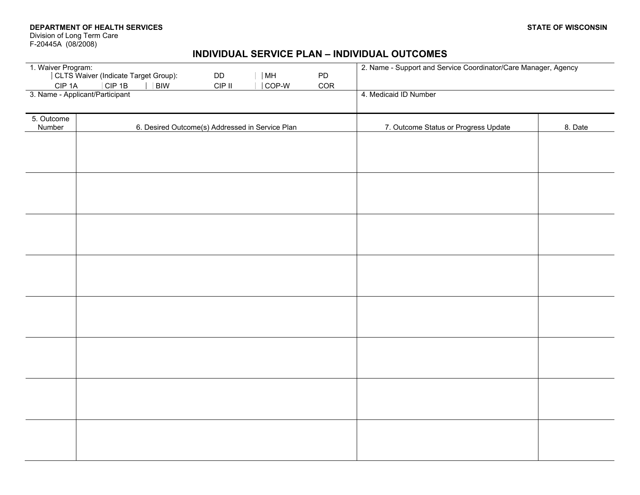**DEPARTMENT OF HEALTH SERVICES**

Division of Long Term Care F-20445A (08/2008)

## **INDIVIDUAL SERVICE PLAN – INDIVIDUAL OUTCOMES**

|            | 1. Waiver Program:<br>CLTS Waiver (Indicate Target Group):                 | 2. Name - Support and Service Coordinator/Care Manager, Agency |         |
|------------|----------------------------------------------------------------------------|----------------------------------------------------------------|---------|
|            | $\Box$ DD<br>$\square$ MH<br>$\Box$ PD                                     |                                                                |         |
| $CIP$ 1A   | $\Box$ CIP 1B<br>$\Box$ BIW<br>$\Box$ CIP II<br>$\Box$ COR<br>$\Box$ COP-W |                                                                |         |
|            | 3. Name - Applicant/Participant                                            | 4. Medicaid ID Number                                          |         |
|            |                                                                            |                                                                |         |
| 5. Outcome |                                                                            |                                                                |         |
| Number     | 6. Desired Outcome(s) Addressed in Service Plan                            | 7. Outcome Status or Progress Update                           | 8. Date |
|            |                                                                            |                                                                |         |
|            |                                                                            |                                                                |         |
|            |                                                                            |                                                                |         |
|            |                                                                            |                                                                |         |
|            |                                                                            |                                                                |         |
|            |                                                                            |                                                                |         |
|            |                                                                            |                                                                |         |
|            |                                                                            |                                                                |         |
|            |                                                                            |                                                                |         |
|            |                                                                            |                                                                |         |
|            |                                                                            |                                                                |         |
|            |                                                                            |                                                                |         |
|            |                                                                            |                                                                |         |
|            |                                                                            |                                                                |         |
|            |                                                                            |                                                                |         |
|            |                                                                            |                                                                |         |
|            |                                                                            |                                                                |         |
|            |                                                                            |                                                                |         |
|            |                                                                            |                                                                |         |
|            |                                                                            |                                                                |         |
|            |                                                                            |                                                                |         |
|            |                                                                            |                                                                |         |
|            |                                                                            |                                                                |         |
|            |                                                                            |                                                                |         |
|            |                                                                            |                                                                |         |
|            |                                                                            |                                                                |         |
|            |                                                                            |                                                                |         |
|            |                                                                            |                                                                |         |
|            |                                                                            |                                                                |         |
|            |                                                                            |                                                                |         |
|            |                                                                            |                                                                |         |
|            |                                                                            |                                                                |         |